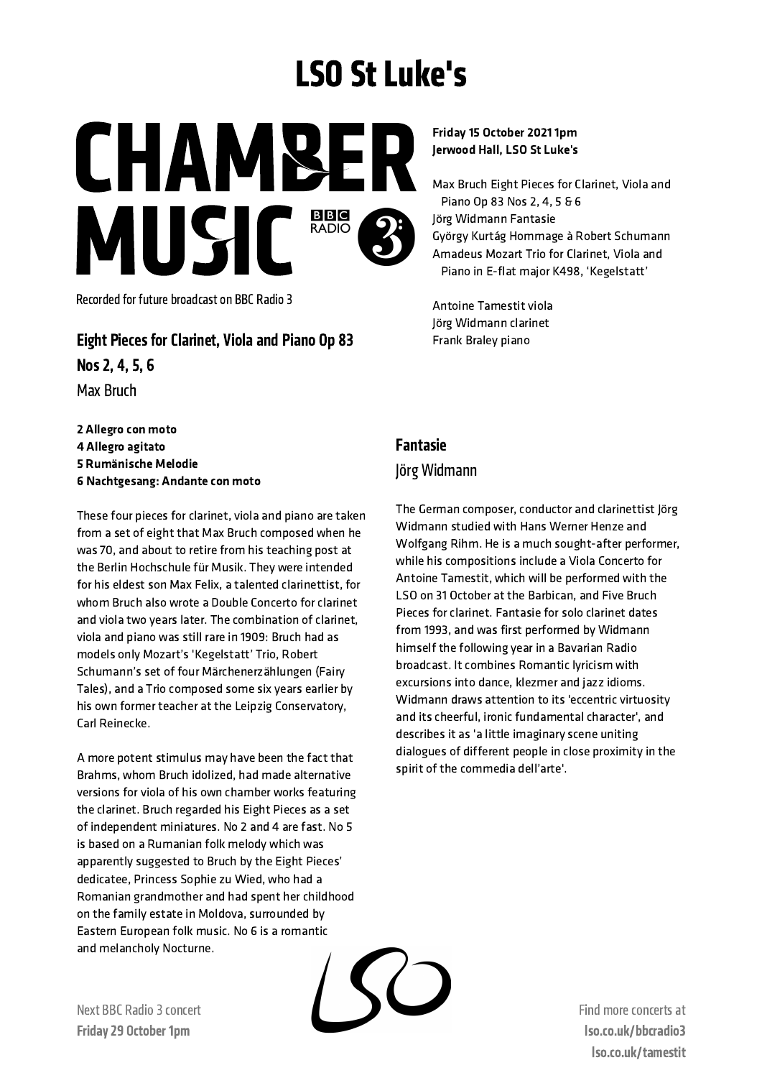# LSO St Luke's

**CHAMBER** MUSIC<sup>BOS</sup>

Recorded for future broadcast on BBC Radio 3

Eight Pieces for Clarinet, Viola and Piano Op 83

Nos 2, 4, 5, 6

Max Bruch

 Allegro con moto Allegro agitato Rumänische Melodie Nachtgesang: Andante con moto

These four pieces for clarinet, viola and piano are taken from a set of eight that Max Bruch composed when he was 70, and about to retire from his teaching post at the Berlin Hochschule für Musik. They were intended for his eldest son Max Felix, a talented clarinettist, for whom Bruch also wrote a Double Concerto for clarinet and viola two years later. The combination of clarinet, viola and piano was still rare in 1909: Bruch had as models only Mozart's 'Kegelstatt' Trio, Robert Schumann's set of four Märchenerzählungen (Fairy Tales), and a Trio composed some six years earlier by his own former teacher at the Leipzig Conservatory, Carl Reinecke.

A more potent stimulus may have been the fact that Brahms, whom Bruch idolized, had made alternative versions for viola of his own chamber works featuring the clarinet. Bruch regarded his Eight Pieces as a set of independent miniatures. No 2 and 4 are fast. No 5 is based on a Rumanian folk melody which was apparently suggested to Bruch by the Eight Pieces' dedicatee, Princess Sophie zu Wied, who had a Romanian grandmother and had spent her childhood on the family estate in Moldova, surrounded by Eastern European folk music. No 6 is a romantic and melancholy Nocturne.

Friday 15 October 2021 1pm Jerwood Hall, LSO St Luke's

Max Bruch Eight Pieces for Clarinet, Viola and Piano Op 83 Nos 2, 4, 5 & 6 Jörg Widmann Fantasie György Kurtág Hommage à Robert Schumann Amadeus Mozart Trio for Clarinet, Viola and Piano in E-flat major K498, 'Kegelstatt'

Antoine Tamestit viola Jörg Widmann clarinet Frank Braley piano

# Fantasie Jörg Widmann

The German composer, conductor and clarinettist Jörg Widmann studied with Hans Werner Henze and Wolfgang Rihm. He is a much sought-after performer, while his compositions include a Viola Concerto for Antoine Tamestit, which will be performed with the LSO on 31 October at the Barbican, and Five Bruch Pieces for clarinet. Fantasie for solo clarinet dates from 1993, and was first performed by Widmann himself the following year in a Bavarian Radio broadcast. It combines Romantic lyricism with excursions into dance, klezmer and jazz idioms. Widmann draws attention to its 'eccentric virtuosity and its cheerful, ironic fundamental character', and describes it as 'a little imaginary scene uniting dialogues of different people in close proximity in the spirit of the commedia dell'arte'.

Next BBC Radio 3 concert Friday 29 October 1pm

Find more concertsat lso.co.uk/bbcradio3 lso.co.uk/tamestit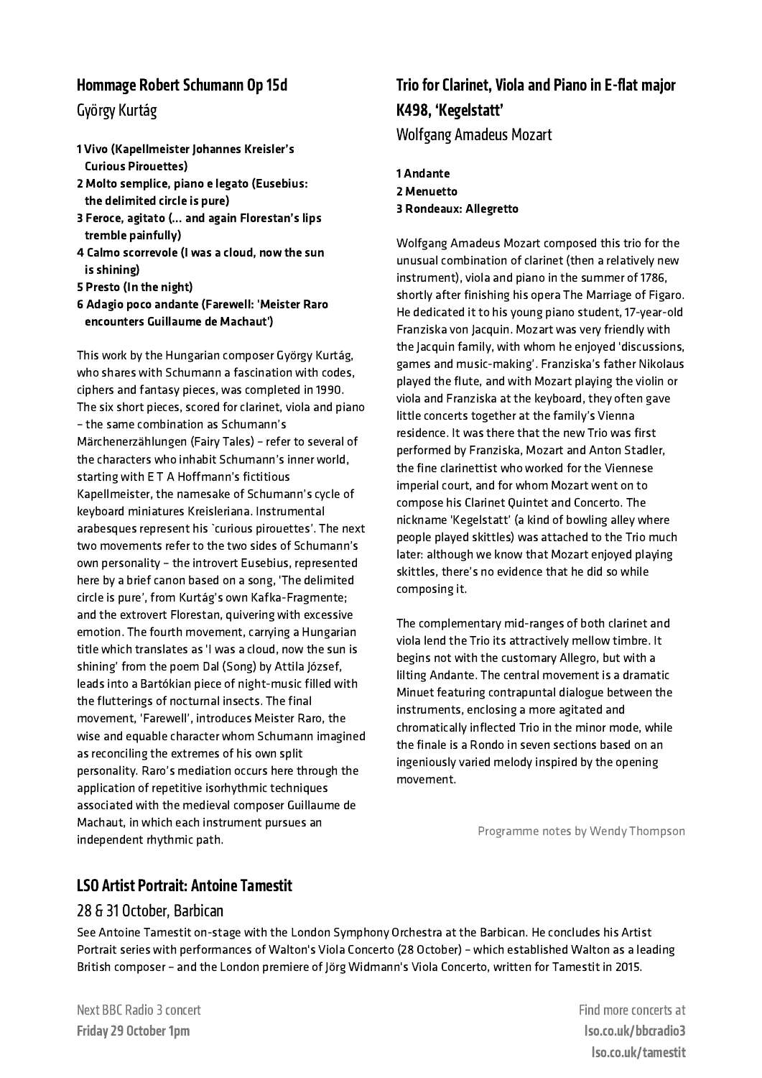### Hommage Robert Schumann Op 15d

## György Kurtág

- 1 Vivo (Kapellmeister Johannes Kreisler's Curious Pirouettes)
- 2 Molto semplice, piano e legato (Eusebius: the delimited circle is pure)
- 3 Feroce, agitato (… and again Florestan's lips tremble painfully)
- 4 Calmo scorrevole (I was a cloud, now the sun is shining)
- 5 Presto (In the night)
- 6 Adagio poco andante (Farewell: 'Meister Raro encounters Guillaume de Machaut')

This work by the Hungarian composer György Kurtág, who shares with Schumann a fascination with codes, ciphers and fantasy pieces, was completed in 1990. The six short pieces, scored for clarinet, viola and piano – the same combination as Schumann's Märchenerzählungen (Fairy Tales) – refer to several of the characters who inhabit Schumann's inner world, starting with E T A Hoffmann's fictitious Kapellmeister, the namesake of Schumann's cycle of keyboard miniatures Kreisleriana. Instrumental arabesques represent his `curious pirouettes'. The next two movements refer to the two sides of Schumann's own personality – the introvert Eusebius, represented here by a brief canon based on a song, 'The delimited circle is pure', from Kurtág's own Kafka-Fragmente; and the extrovert Florestan, quivering with excessive emotion. The fourth movement, carrying a Hungarian title which translates as 'I was a cloud, now the sun is shining' from the poem Dal (Song) by Attila József, leads into a Bartókian piece of night-music filled with the flutterings of nocturnal insects. The final movement, 'Farewell', introduces Meister Raro, the wise and equable character whom Schumann imagined as reconciling the extremes of his own split personality. Raro's mediation occurs here through the application of repetitive isorhythmic techniques associated with the medieval composer Guillaume de Machaut, in which each instrument pursues an independent rhythmic path.

# Trio for Clarinet, Viola and Piano in E-flat major K498, 'Kegelstatt' Wolfgang Amadeus Mozart

1 Andante 2 Menuetto 3 Rondeaux: Allegretto

Wolfgang Amadeus Mozart composed this trio for the unusual combination of clarinet (then a relatively new instrument), viola and piano in the summer of 1786, shortly after finishing his opera The Marriage of Figaro. He dedicated it to his young piano student, 17-year-old Franziska von Jacquin. Mozart was very friendly with the Jacquin family, with whom he enjoyed 'discussions, games and music-making'. Franziska's father Nikolaus played the flute, and with Mozart playing the violin or viola and Franziska at the keyboard, they often gave little concerts together at the family's Vienna residence. It was there that the new Trio was first performed by Franziska, Mozart and Anton Stadler, the fine clarinettist who worked for the Viennese imperial court, and for whom Mozart went on to compose his Clarinet Quintet and Concerto. The nickname 'Kegelstatt' (a kind of bowling alley where people played skittles) was attached to the Trio much later: although we know that Mozart enjoyed playing skittles, there's no evidence that he did so while composing it.

The complementary mid-ranges of both clarinet and viola lend the Trio its attractively mellow timbre. It begins not with the customary Allegro, but with a lilting Andante. The central movement is a dramatic Minuet featuring contrapuntal dialogue between the instruments, enclosing a more agitated and chromatically inflected Trio in the minor mode, while the finale is a Rondo in seven sections based on an ingeniously varied melody inspired by the opening movement.

Programme notes by Wendy Thompson

# LSO Artist Portrait: Antoine Tamestit

#### 28 & 31 October, Barbican

See Antoine Tamestit on-stage with the London Symphony Orchestra at the Barbican. He concludes his Artist Portrait series with performances of Walton's Viola Concerto (28 October) – which established Walton as a leading British composer – and the London premiere of Jörg Widmann's Viola Concerto, written for Tamestit in 2015.

Next BBC Radio 3 concert Friday 29 October 1pm

Find more concertsat lso.co.uk/bbcradio3 lso.co.uk/tamestit